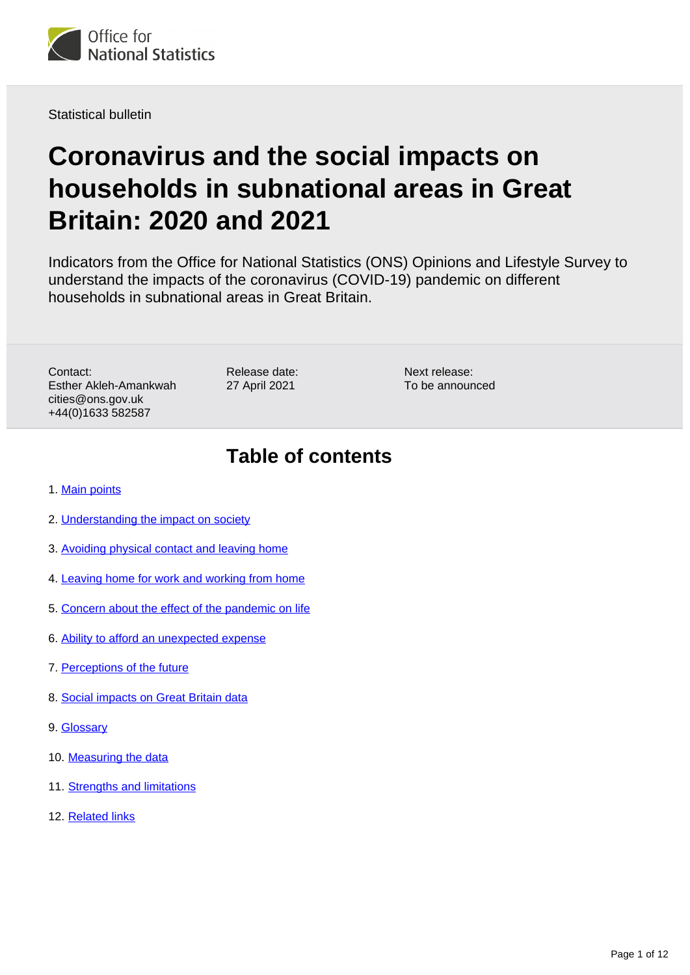

Statistical bulletin

# **Coronavirus and the social impacts on households in subnational areas in Great Britain: 2020 and 2021**

Indicators from the Office for National Statistics (ONS) Opinions and Lifestyle Survey to understand the impacts of the coronavirus (COVID-19) pandemic on different households in subnational areas in Great Britain.

Contact: Esther Akleh-Amankwah cities@ons.gov.uk +44(0)1633 582587

Release date: 27 April 2021

Next release: To be announced

## **Table of contents**

- 1. [Main points](#page-1-0)
- 2. [Understanding the impact on society](#page-1-1)
- 3. [Avoiding physical contact and leaving home](#page-3-0)
- 4. [Leaving home for work and working from home](#page-5-0)
- 5. [Concern about the effect of the pandemic on life](#page-6-0)
- 6. [Ability to afford an unexpected expense](#page-7-0)
- 7. [Perceptions of the future](#page-8-0)
- 8. [Social impacts on Great Britain data](#page-9-0)
- 9. [Glossary](#page-9-1)
- 10. [Measuring the data](#page-10-0)
- 11. [Strengths and limitations](#page-10-1)
- 12. [Related links](#page-11-0)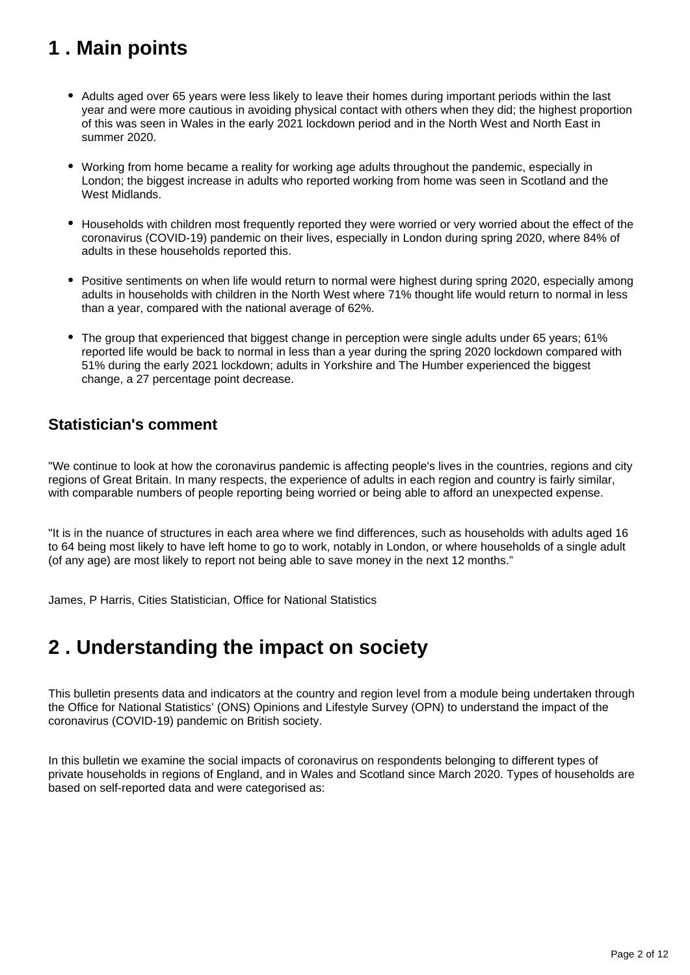## <span id="page-1-0"></span>**1 . Main points**

- Adults aged over 65 years were less likely to leave their homes during important periods within the last year and were more cautious in avoiding physical contact with others when they did; the highest proportion of this was seen in Wales in the early 2021 lockdown period and in the North West and North East in summer 2020.
- Working from home became a reality for working age adults throughout the pandemic, especially in London; the biggest increase in adults who reported working from home was seen in Scotland and the West Midlands.
- Households with children most frequently reported they were worried or very worried about the effect of the coronavirus (COVID-19) pandemic on their lives, especially in London during spring 2020, where 84% of adults in these households reported this.
- Positive sentiments on when life would return to normal were highest during spring 2020, especially among adults in households with children in the North West where 71% thought life would return to normal in less than a year, compared with the national average of 62%.
- The group that experienced that biggest change in perception were single adults under 65 years; 61% reported life would be back to normal in less than a year during the spring 2020 lockdown compared with 51% during the early 2021 lockdown; adults in Yorkshire and The Humber experienced the biggest change, a 27 percentage point decrease.

### **Statistician's comment**

"We continue to look at how the coronavirus pandemic is affecting people's lives in the countries, regions and city regions of Great Britain. In many respects, the experience of adults in each region and country is fairly similar, with comparable numbers of people reporting being worried or being able to afford an unexpected expense.

"It is in the nuance of structures in each area where we find differences, such as households with adults aged 16 to 64 being most likely to have left home to go to work, notably in London, or where households of a single adult (of any age) are most likely to report not being able to save money in the next 12 months."

James, P Harris, Cities Statistician, Office for National Statistics

## <span id="page-1-1"></span>**2 . Understanding the impact on society**

This bulletin presents data and indicators at the country and region level from a module being undertaken through the Office for National Statistics' (ONS) Opinions and Lifestyle Survey (OPN) to understand the impact of the coronavirus (COVID-19) pandemic on British society.

In this bulletin we examine the social impacts of coronavirus on respondents belonging to different types of private households in regions of England, and in Wales and Scotland since March 2020. Types of households are based on self-reported data and were categorised as: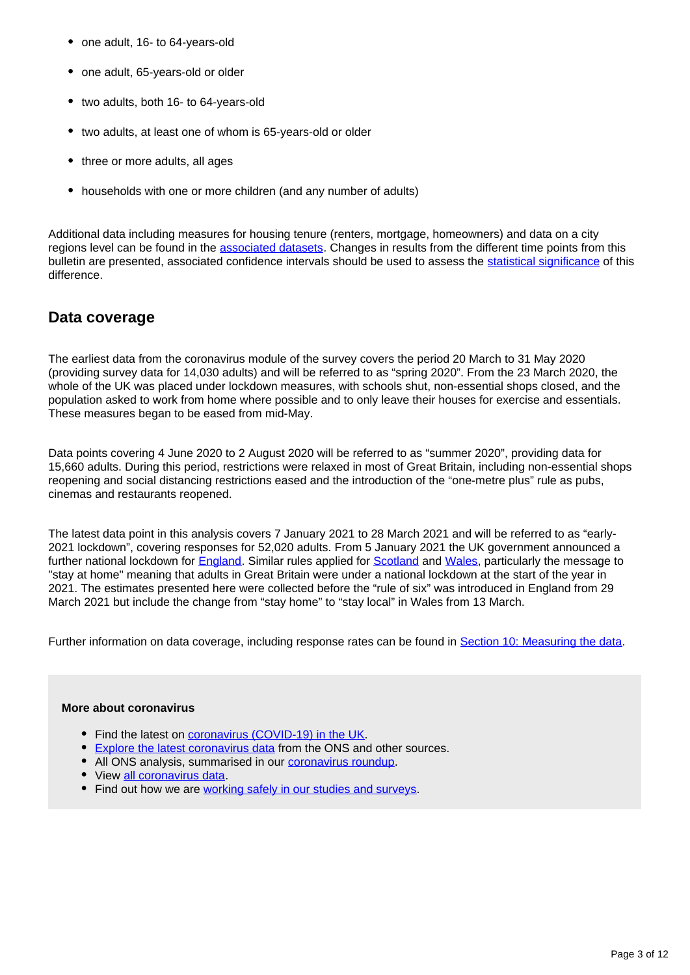- one adult, 16- to 64-years-old
- one adult, 65-years-old or older
- two adults, both 16- to 64-years-old
- two adults, at least one of whom is 65-years-old or older
- three or more adults, all ages
- households with one or more children (and any number of adults)

Additional data including measures for housing tenure (renters, mortgage, homeowners) and data on a city regions level can be found in the [associated datasets](https://www.ons.gov.uk/peoplepopulationandcommunity/healthandsocialcare/healthandwellbeing/bulletins/coronavirusandthesocialimpactsonhouseholdsinsubnationalareasingreatbritain/2020and2021/relateddata). Changes in results from the different time points from this bulletin are presented, associated confidence intervals should be used to assess the [statistical significance](https://www.ons.gov.uk/methodology/methodologytopicsandstatisticalconcepts/uncertaintyandhowwemeasureit#statistical-significance) of this difference.

### **Data coverage**

The earliest data from the coronavirus module of the survey covers the period 20 March to 31 May 2020 (providing survey data for 14,030 adults) and will be referred to as "spring 2020". From the 23 March 2020, the whole of the UK was placed under lockdown measures, with schools shut, non-essential shops closed, and the population asked to work from home where possible and to only leave their houses for exercise and essentials. These measures began to be eased from mid-May.

Data points covering 4 June 2020 to 2 August 2020 will be referred to as "summer 2020", providing data for 15,660 adults. During this period, restrictions were relaxed in most of Great Britain, including non-essential shops reopening and social distancing restrictions eased and the introduction of the "one-metre plus" rule as pubs, cinemas and restaurants reopened.

The latest data point in this analysis covers 7 January 2021 to 28 March 2021 and will be referred to as "early-2021 lockdown", covering responses for 52,020 adults. From 5 January 2021 the UK government announced a further national lockdown for **England**. Similar rules applied for **Scotland and [Wales](https://gov.wales/covid-19-alert-levels)**, particularly the message to "stay at home" meaning that adults in Great Britain were under a national lockdown at the start of the year in 2021. The estimates presented here were collected before the "rule of six" was introduced in England from 29 March 2021 but include the change from "stay home" to "stay local" in Wales from 13 March.

Further information on data coverage, including response rates can be found in [Section 10: Measuring the data.](https://www.ons.gov.uk/peoplepopulationandcommunity/healthandsocialcare/healthandwellbeing/bulletins/coronavirusandthesocialimpactsonhouseholdsinsubnationalareasingreatbritain/2020and2021#measuring-the-data)

#### **More about coronavirus**

- Find the latest on [coronavirus \(COVID-19\) in the UK.](https://www.ons.gov.uk/peoplepopulationandcommunity/healthandsocialcare/conditionsanddiseases)
- [Explore the latest coronavirus data](https://www.ons.gov.uk/peoplepopulationandcommunity/healthandsocialcare/conditionsanddiseases/articles/coronaviruscovid19/latestinsights) from the ONS and other sources.
- All ONS analysis, summarised in our [coronavirus roundup.](https://www.ons.gov.uk/peoplepopulationandcommunity/healthandsocialcare/conditionsanddiseases/articles/coronaviruscovid19roundup/latest)
- View [all coronavirus data](https://www.ons.gov.uk/peoplepopulationandcommunity/healthandsocialcare/conditionsanddiseases/datalist).
- Find out how we are [working safely in our studies and surveys.](https://www.ons.gov.uk/news/statementsandletters/ensuringyoursafetyduringcovid19)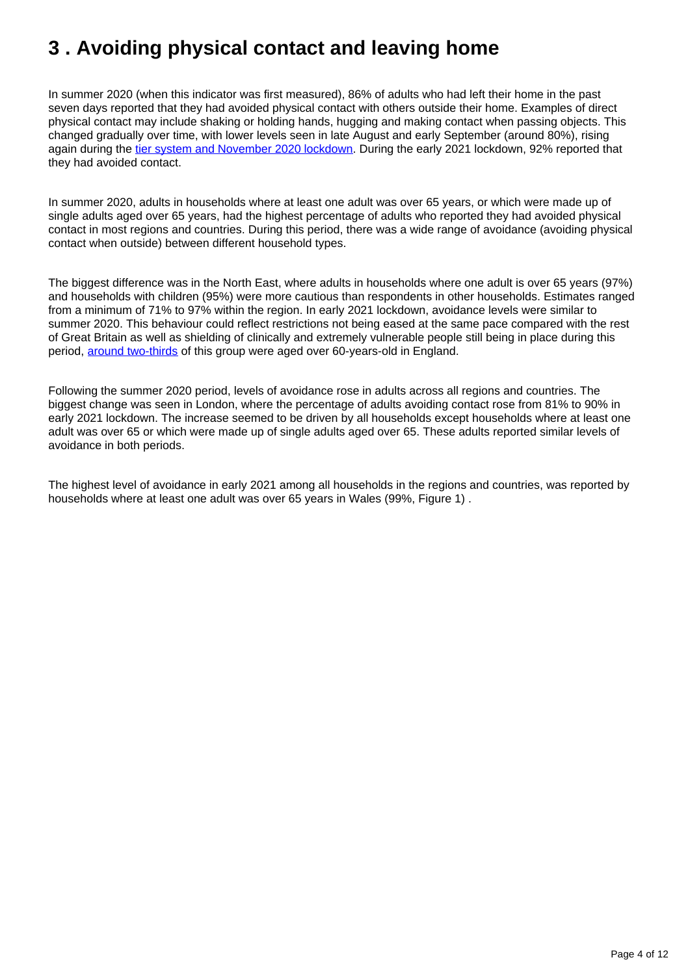## <span id="page-3-0"></span>**3 . Avoiding physical contact and leaving home**

In summer 2020 (when this indicator was first measured), 86% of adults who had left their home in the past seven days reported that they had avoided physical contact with others outside their home. Examples of direct physical contact may include shaking or holding hands, hugging and making contact when passing objects. This changed gradually over time, with lower levels seen in late August and early September (around 80%), rising again during the [tier system and November 2020 lockdown.](https://www.ons.gov.uk/peoplepopulationandcommunity/healthandsocialcare/healthandwellbeing/bulletins/coronavirusandthesocialimpactsongreatbritain/27november2020) During the early 2021 lockdown, 92% reported that they had avoided contact.

In summer 2020, adults in households where at least one adult was over 65 years, or which were made up of single adults aged over 65 years, had the highest percentage of adults who reported they had avoided physical contact in most regions and countries. During this period, there was a wide range of avoidance (avoiding physical contact when outside) between different household types.

The biggest difference was in the North East, where adults in households where one adult is over 65 years (97%) and households with children (95%) were more cautious than respondents in other households. Estimates ranged from a minimum of 71% to 97% within the region. In early 2021 lockdown, avoidance levels were similar to summer 2020. This behaviour could reflect restrictions not being eased at the same pace compared with the rest of Great Britain as well as shielding of clinically and extremely vulnerable people still being in place during this period, [around two-thirds](https://www.ons.gov.uk/peoplepopulationandcommunity/healthandsocialcare/conditionsanddiseases/bulletins/coronavirusandshieldingofclinicallyextremelyvulnerablepeopleinengland/9julyto16july2020) of this group were aged over 60-years-old in England.

Following the summer 2020 period, levels of avoidance rose in adults across all regions and countries. The biggest change was seen in London, where the percentage of adults avoiding contact rose from 81% to 90% in early 2021 lockdown. The increase seemed to be driven by all households except households where at least one adult was over 65 or which were made up of single adults aged over 65. These adults reported similar levels of avoidance in both periods.

The highest level of avoidance in early 2021 among all households in the regions and countries, was reported by households where at least one adult was over 65 years in Wales (99%, Figure 1) .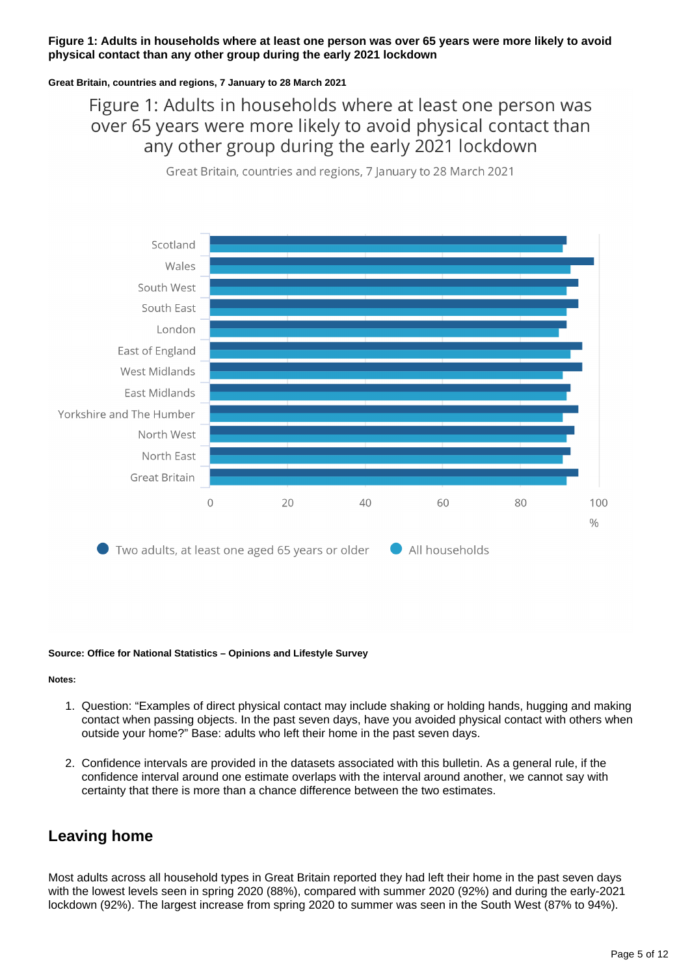#### **Figure 1: Adults in households where at least one person was over 65 years were more likely to avoid physical contact than any other group during the early 2021 lockdown**

#### **Great Britain, countries and regions, 7 January to 28 March 2021**

Figure 1: Adults in households where at least one person was over 65 years were more likely to avoid physical contact than any other group during the early 2021 lockdown

Great Britain, countries and regions, 7 January to 28 March 2021



#### **Source: Office for National Statistics – Opinions and Lifestyle Survey**

#### **Notes:**

- 1. Question: "Examples of direct physical contact may include shaking or holding hands, hugging and making contact when passing objects. In the past seven days, have you avoided physical contact with others when outside your home?" Base: adults who left their home in the past seven days.
- 2. Confidence intervals are provided in the datasets associated with this bulletin. As a general rule, if the confidence interval around one estimate overlaps with the interval around another, we cannot say with certainty that there is more than a chance difference between the two estimates.

### **Leaving home**

Most adults across all household types in Great Britain reported they had left their home in the past seven days with the lowest levels seen in spring 2020 (88%), compared with summer 2020 (92%) and during the early-2021 lockdown (92%). The largest increase from spring 2020 to summer was seen in the South West (87% to 94%).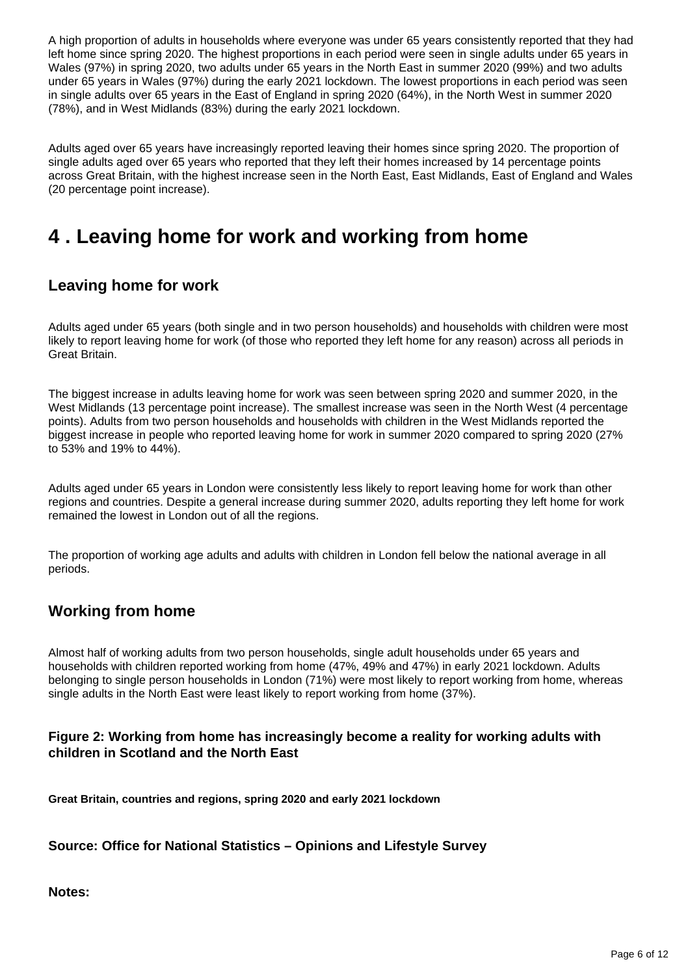A high proportion of adults in households where everyone was under 65 years consistently reported that they had left home since spring 2020. The highest proportions in each period were seen in single adults under 65 years in Wales (97%) in spring 2020, two adults under 65 years in the North East in summer 2020 (99%) and two adults under 65 years in Wales (97%) during the early 2021 lockdown. The lowest proportions in each period was seen in single adults over 65 years in the East of England in spring 2020 (64%), in the North West in summer 2020 (78%), and in West Midlands (83%) during the early 2021 lockdown.

Adults aged over 65 years have increasingly reported leaving their homes since spring 2020. The proportion of single adults aged over 65 years who reported that they left their homes increased by 14 percentage points across Great Britain, with the highest increase seen in the North East, East Midlands, East of England and Wales (20 percentage point increase).

## <span id="page-5-0"></span>**4 . Leaving home for work and working from home**

### **Leaving home for work**

Adults aged under 65 years (both single and in two person households) and households with children were most likely to report leaving home for work (of those who reported they left home for any reason) across all periods in Great Britain.

The biggest increase in adults leaving home for work was seen between spring 2020 and summer 2020, in the West Midlands (13 percentage point increase). The smallest increase was seen in the North West (4 percentage points). Adults from two person households and households with children in the West Midlands reported the biggest increase in people who reported leaving home for work in summer 2020 compared to spring 2020 (27% to 53% and 19% to 44%).

Adults aged under 65 years in London were consistently less likely to report leaving home for work than other regions and countries. Despite a general increase during summer 2020, adults reporting they left home for work remained the lowest in London out of all the regions.

The proportion of working age adults and adults with children in London fell below the national average in all periods.

### **Working from home**

Almost half of working adults from two person households, single adult households under 65 years and households with children reported working from home (47%, 49% and 47%) in early 2021 lockdown. Adults belonging to single person households in London (71%) were most likely to report working from home, whereas single adults in the North East were least likely to report working from home (37%).

### **Figure 2: Working from home has increasingly become a reality for working adults with children in Scotland and the North East**

**Great Britain, countries and regions, spring 2020 and early 2021 lockdown**

### **Source: Office for National Statistics – Opinions and Lifestyle Survey**

**Notes:**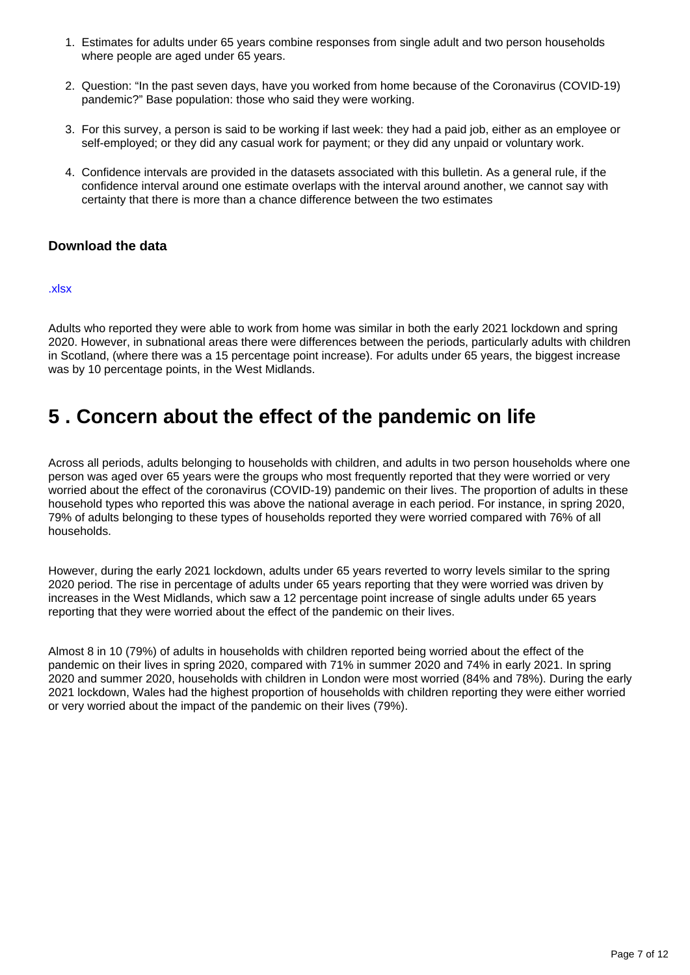- 1. Estimates for adults under 65 years combine responses from single adult and two person households where people are aged under 65 years.
- 2. Question: "In the past seven days, have you worked from home because of the Coronavirus (COVID-19) pandemic?" Base population: those who said they were working.
- 3. For this survey, a person is said to be working if last week: they had a paid job, either as an employee or self-employed; or they did any casual work for payment; or they did any unpaid or voluntary work.
- 4. Confidence intervals are provided in the datasets associated with this bulletin. As a general rule, if the confidence interval around one estimate overlaps with the interval around another, we cannot say with certainty that there is more than a chance difference between the two estimates

#### **Download the data**

#### [.xlsx](https://www.ons.gov.uk/visualisations/dvc1323/fig2/datadownload.xlsx )

Adults who reported they were able to work from home was similar in both the early 2021 lockdown and spring 2020. However, in subnational areas there were differences between the periods, particularly adults with children in Scotland, (where there was a 15 percentage point increase). For adults under 65 years, the biggest increase was by 10 percentage points, in the West Midlands.

## <span id="page-6-0"></span>**5 . Concern about the effect of the pandemic on life**

Across all periods, adults belonging to households with children, and adults in two person households where one person was aged over 65 years were the groups who most frequently reported that they were worried or very worried about the effect of the coronavirus (COVID-19) pandemic on their lives. The proportion of adults in these household types who reported this was above the national average in each period. For instance, in spring 2020, 79% of adults belonging to these types of households reported they were worried compared with 76% of all households.

However, during the early 2021 lockdown, adults under 65 years reverted to worry levels similar to the spring 2020 period. The rise in percentage of adults under 65 years reporting that they were worried was driven by increases in the West Midlands, which saw a 12 percentage point increase of single adults under 65 years reporting that they were worried about the effect of the pandemic on their lives.

Almost 8 in 10 (79%) of adults in households with children reported being worried about the effect of the pandemic on their lives in spring 2020, compared with 71% in summer 2020 and 74% in early 2021. In spring 2020 and summer 2020, households with children in London were most worried (84% and 78%). During the early 2021 lockdown, Wales had the highest proportion of households with children reporting they were either worried or very worried about the impact of the pandemic on their lives (79%).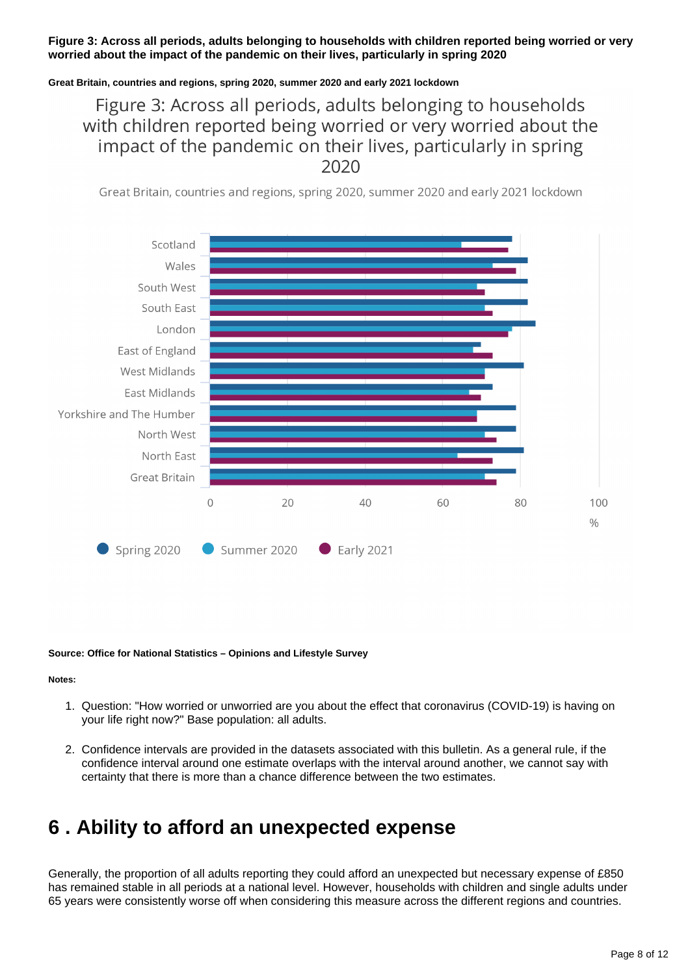#### **Figure 3: Across all periods, adults belonging to households with children reported being worried or very worried about the impact of the pandemic on their lives, particularly in spring 2020**

**Great Britain, countries and regions, spring 2020, summer 2020 and early 2021 lockdown**

### Figure 3: Across all periods, adults belonging to households with children reported being worried or very worried about the impact of the pandemic on their lives, particularly in spring 2020

Great Britain, countries and regions, spring 2020, summer 2020 and early 2021 lockdown



#### **Source: Office for National Statistics – Opinions and Lifestyle Survey**

#### **Notes:**

- 1. Question: "How worried or unworried are you about the effect that coronavirus (COVID-19) is having on your life right now?" Base population: all adults.
- 2. Confidence intervals are provided in the datasets associated with this bulletin. As a general rule, if the confidence interval around one estimate overlaps with the interval around another, we cannot say with certainty that there is more than a chance difference between the two estimates.

## <span id="page-7-0"></span>**6 . Ability to afford an unexpected expense**

Generally, the proportion of all adults reporting they could afford an unexpected but necessary expense of £850 has remained stable in all periods at a national level. However, households with children and single adults under 65 years were consistently worse off when considering this measure across the different regions and countries.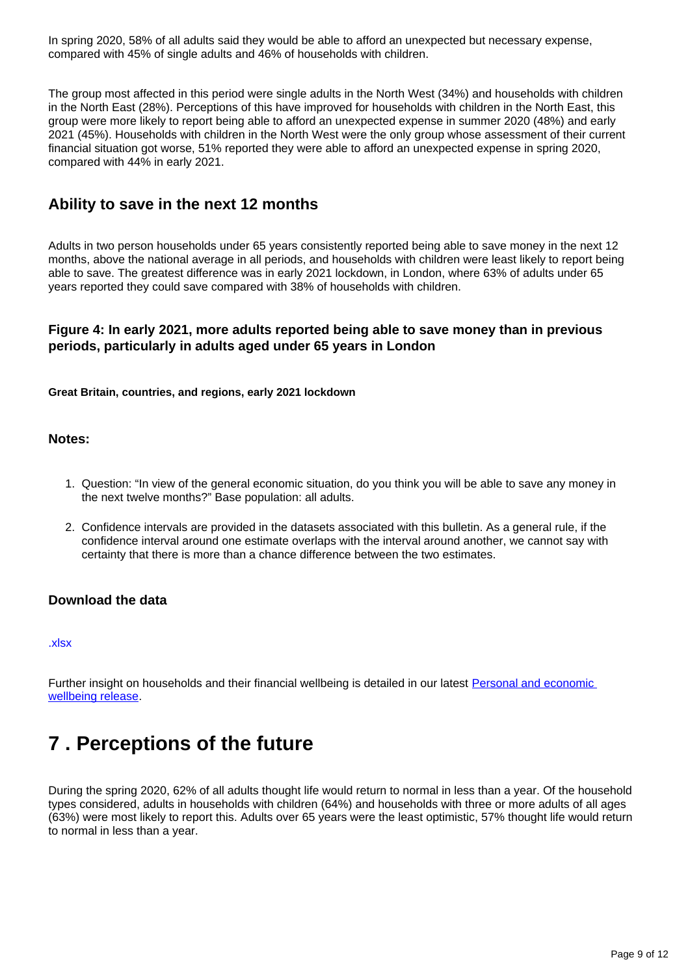In spring 2020, 58% of all adults said they would be able to afford an unexpected but necessary expense, compared with 45% of single adults and 46% of households with children.

The group most affected in this period were single adults in the North West (34%) and households with children in the North East (28%). Perceptions of this have improved for households with children in the North East, this group were more likely to report being able to afford an unexpected expense in summer 2020 (48%) and early 2021 (45%). Households with children in the North West were the only group whose assessment of their current financial situation got worse, 51% reported they were able to afford an unexpected expense in spring 2020, compared with 44% in early 2021.

### **Ability to save in the next 12 months**

Adults in two person households under 65 years consistently reported being able to save money in the next 12 months, above the national average in all periods, and households with children were least likely to report being able to save. The greatest difference was in early 2021 lockdown, in London, where 63% of adults under 65 years reported they could save compared with 38% of households with children.

#### **Figure 4: In early 2021, more adults reported being able to save money than in previous periods, particularly in adults aged under 65 years in London**

#### **Great Britain, countries, and regions, early 2021 lockdown**

#### **Notes:**

- 1. Question: "In view of the general economic situation, do you think you will be able to save any money in the next twelve months?" Base population: all adults.
- 2. Confidence intervals are provided in the datasets associated with this bulletin. As a general rule, if the confidence interval around one estimate overlaps with the interval around another, we cannot say with certainty that there is more than a chance difference between the two estimates.

#### **Download the data**

#### [.xlsx](https://www.ons.gov.uk/visualisations/dvc1323/fig4/datadownload.xlsx )

Further insight on households and their financial wellbeing is detailed in our latest [Personal and economic](https://www.ons.gov.uk/peoplepopulationandcommunity/wellbeing/bulletins/personalandeconomicwellbeingintheuk/latest)  [wellbeing release.](https://www.ons.gov.uk/peoplepopulationandcommunity/wellbeing/bulletins/personalandeconomicwellbeingintheuk/latest)

## <span id="page-8-0"></span>**7 . Perceptions of the future**

During the spring 2020, 62% of all adults thought life would return to normal in less than a year. Of the household types considered, adults in households with children (64%) and households with three or more adults of all ages (63%) were most likely to report this. Adults over 65 years were the least optimistic, 57% thought life would return to normal in less than a year.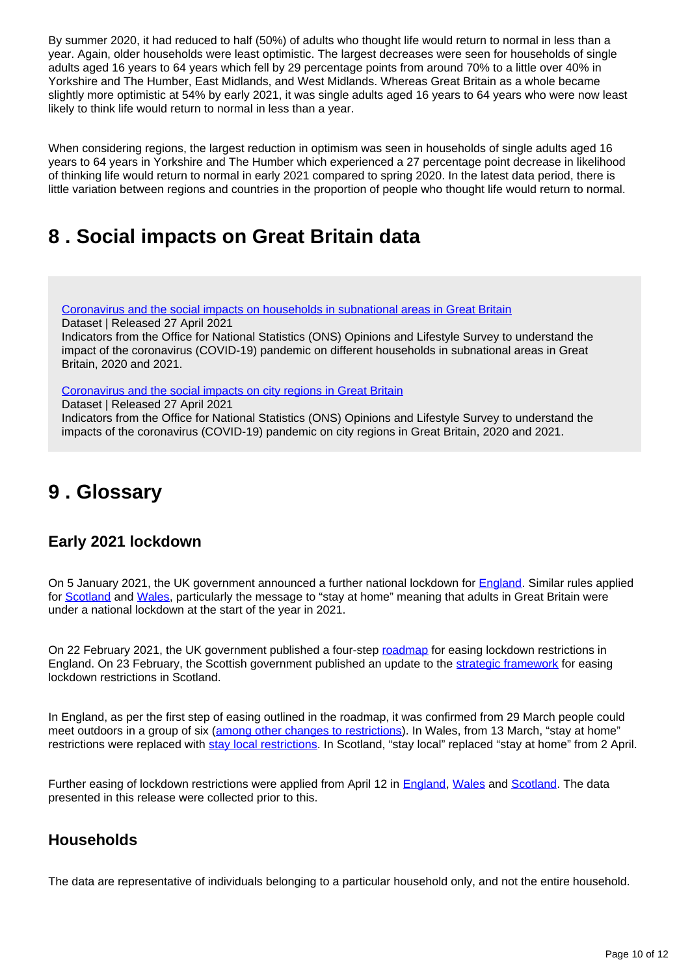By summer 2020, it had reduced to half (50%) of adults who thought life would return to normal in less than a year. Again, older households were least optimistic. The largest decreases were seen for households of single adults aged 16 years to 64 years which fell by 29 percentage points from around 70% to a little over 40% in Yorkshire and The Humber, East Midlands, and West Midlands. Whereas Great Britain as a whole became slightly more optimistic at 54% by early 2021, it was single adults aged 16 years to 64 years who were now least likely to think life would return to normal in less than a year.

When considering regions, the largest reduction in optimism was seen in households of single adults aged 16 years to 64 years in Yorkshire and The Humber which experienced a 27 percentage point decrease in likelihood of thinking life would return to normal in early 2021 compared to spring 2020. In the latest data period, there is little variation between regions and countries in the proportion of people who thought life would return to normal.

## <span id="page-9-0"></span>**8 . Social impacts on Great Britain data**

[Coronavirus and the social impacts on households in subnational areas in Great Britain](http://www.ons.gov.uk/peoplepopulationandcommunity/healthandsocialcare/healthandwellbeing/datasets/coronavirusandthesocialimpactsonhouseholdsinsubnationalareasingreatbritain) Dataset | Released 27 April 2021

Indicators from the Office for National Statistics (ONS) Opinions and Lifestyle Survey to understand the impact of the coronavirus (COVID-19) pandemic on different households in subnational areas in Great Britain, 2020 and 2021.

[Coronavirus and the social impacts on city regions in Great Britain](https://www.ons.gov.uk/peoplepopulationandcommunity/healthandsocialcare/healthandwellbeing/datasets/coronavirusandthesocialimpactsoncityregionsingreatbritain)

Dataset | Released 27 April 2021

Indicators from the Office for National Statistics (ONS) Opinions and Lifestyle Survey to understand the impacts of the coronavirus (COVID-19) pandemic on city regions in Great Britain, 2020 and 2021.

## <span id="page-9-1"></span>**9 . Glossary**

### **Early 2021 lockdown**

On 5 January 2021, the UK government announced a further national lockdown for **England**. Similar rules applied for [Scotland](https://www.gov.scot/publications/coronavirus-covid-19-stay-at-home-guidance/) and [Wales](https://gov.wales/covid-19-alert-levels), particularly the message to "stay at home" meaning that adults in Great Britain were under a national lockdown at the start of the year in 2021.

On 22 February 2021, the UK government published a four-step [roadmap](https://www.gov.uk/government/publications/covid-19-response-spring-2021) for easing lockdown restrictions in England. On 23 February, the Scottish government published an update to the [strategic framework](https://www.gov.scot/publications/coronavirus-covid-19-strategic-framework-update-february-2021/pages/protective-measures-and-our-levels-approach/) for easing lockdown restrictions in Scotland.

In England, as per the first step of easing outlined in the roadmap, it was confirmed from 29 March people could meet outdoors in a group of six [\(among other changes to restrictions\)](https://www.gov.uk/guidance/covid-19-coronavirus-restrictions-what-you-can-and-cannot-do#march-whats-changed). In Wales, from 13 March, "stay at home" restrictions were replaced with [stay local restrictions.](https://gov.wales/alert-level-4) In Scotland, "stay local" replaced "stay at home" from 2 April.

Further easing of lockdown restrictions were applied from April 12 in [England,](https://www.gov.uk/government/news/further-easing-of-covid-restrictions-confirmed-for-12-april) [Wales](https://gov.wales/covid-19-restriction-relaxations-wales-brought-forward) and [Scotland.](https://www.gov.scot/publications/coronavirus-covid-19-timetable-for-easing-restrictions/pages/timetable/) The data presented in this release were collected prior to this.

### **Households**

The data are representative of individuals belonging to a particular household only, and not the entire household.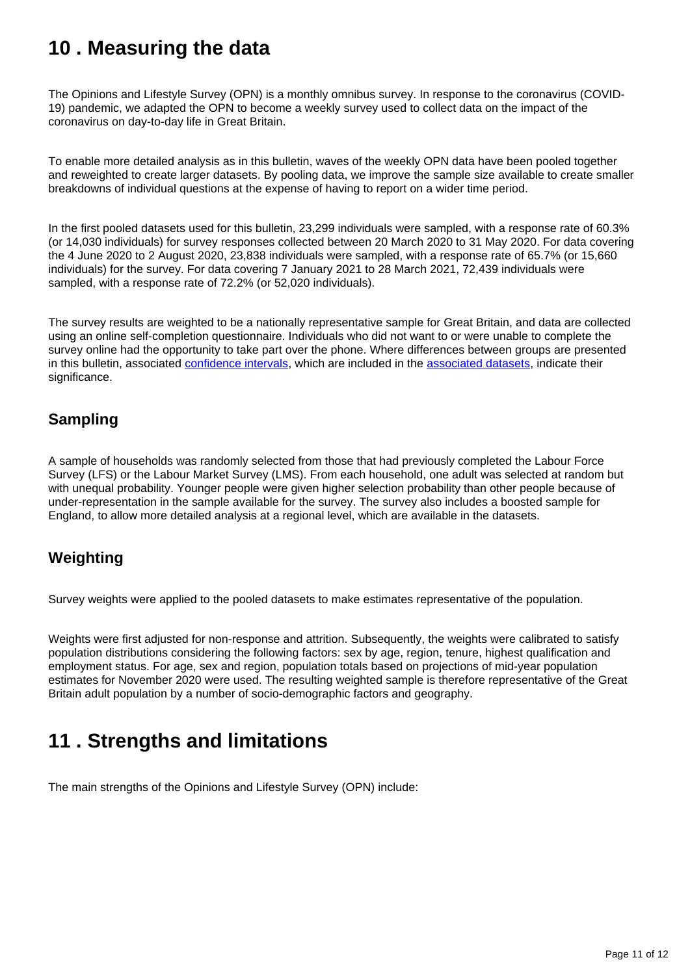## <span id="page-10-0"></span>**10 . Measuring the data**

The Opinions and Lifestyle Survey (OPN) is a monthly omnibus survey. In response to the coronavirus (COVID-19) pandemic, we adapted the OPN to become a weekly survey used to collect data on the impact of the coronavirus on day-to-day life in Great Britain.

To enable more detailed analysis as in this bulletin, waves of the weekly OPN data have been pooled together and reweighted to create larger datasets. By pooling data, we improve the sample size available to create smaller breakdowns of individual questions at the expense of having to report on a wider time period.

In the first pooled datasets used for this bulletin, 23,299 individuals were sampled, with a response rate of 60.3% (or 14,030 individuals) for survey responses collected between 20 March 2020 to 31 May 2020. For data covering the 4 June 2020 to 2 August 2020, 23,838 individuals were sampled, with a response rate of 65.7% (or 15,660 individuals) for the survey. For data covering 7 January 2021 to 28 March 2021, 72,439 individuals were sampled, with a response rate of 72.2% (or 52,020 individuals).

The survey results are weighted to be a nationally representative sample for Great Britain, and data are collected using an online self-completion questionnaire. Individuals who did not want to or were unable to complete the survey online had the opportunity to take part over the phone. Where differences between groups are presented in this bulletin, associated [confidence intervals,](https://www.ons.gov.uk/methodology/methodologytopicsandstatisticalconcepts/uncertaintyandhowwemeasureit#confidence-interval) which are included in the [associated datasets,](https://www.ons.gov.uk/peoplepopulationandcommunity/healthandsocialcare/healthandwellbeing/bulletins/coronavirusandthesocialimpactsongreatbritain/27november2020/relateddata) indicate their significance.

### **Sampling**

A sample of households was randomly selected from those that had previously completed the Labour Force Survey (LFS) or the Labour Market Survey (LMS). From each household, one adult was selected at random but with unequal probability. Younger people were given higher selection probability than other people because of under-representation in the sample available for the survey. The survey also includes a boosted sample for England, to allow more detailed analysis at a regional level, which are available in the datasets.

### **Weighting**

Survey weights were applied to the pooled datasets to make estimates representative of the population.

Weights were first adjusted for non-response and attrition. Subsequently, the weights were calibrated to satisfy population distributions considering the following factors: sex by age, region, tenure, highest qualification and employment status. For age, sex and region, population totals based on projections of mid-year population estimates for November 2020 were used. The resulting weighted sample is therefore representative of the Great Britain adult population by a number of socio-demographic factors and geography.

## <span id="page-10-1"></span>**11 . Strengths and limitations**

The main strengths of the Opinions and Lifestyle Survey (OPN) include: